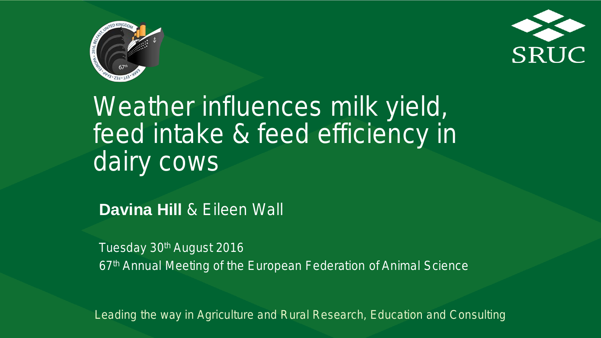



Weather influences milk yield, feed intake & feed efficiency in dairy cows

**Davina Hill** & Eileen Wall

Tuesday 30th August 2016 67th Annual Meeting of the European Federation of Animal Science

<sup>1</sup> *Leading the way in Agriculture and Rural Research, Education and Consulting*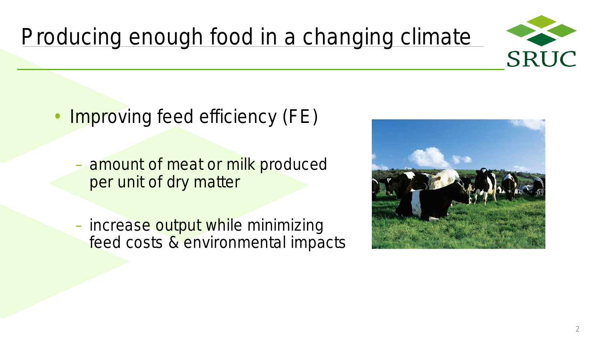

### Producing enough food in a changing climate

- Improving feed efficiency (FE)
	- amount of meat or milk produced per unit of dry matter
	- increase output while minimizing feed costs & environmental impacts



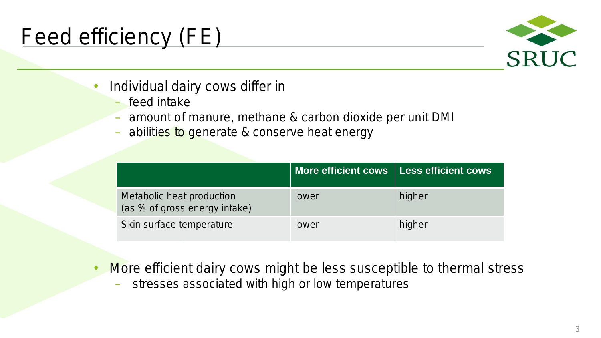### Feed efficiency (FE)



- Individual dairy cows differ in
	- feed intake
	- amount of manure, methane & carbon dioxide per unit DMI
	- abilities to generate & conserve heat energy

|                                                            | More efficient cows   Less efficient cows |        |
|------------------------------------------------------------|-------------------------------------------|--------|
| Metabolic heat production<br>(as % of gross energy intake) | lower                                     | higher |
| Skin surface temperature                                   | <b>lower</b>                              | higher |

- More efficient dairy cows might be less susceptible to thermal stress
	- stresses associated with high or low temperatures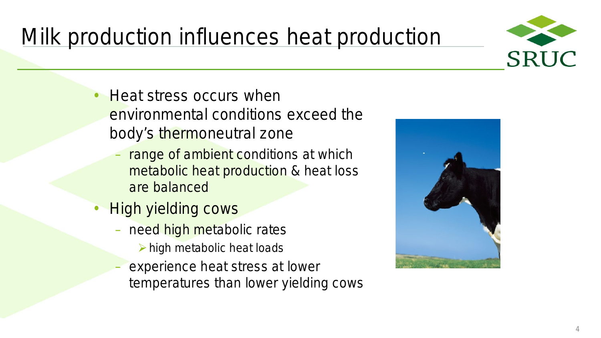## Milk production influences heat production



- Heat stress occurs when environmental conditions exceed the body's thermoneutral zone
	- range of ambient conditions at which metabolic heat production & heat loss are balanced
- **High yielding cows** 
	- need high metabolic rates
		- $\triangleright$  high metabolic heat loads
	- experience heat stress at lower temperatures than lower yielding cows

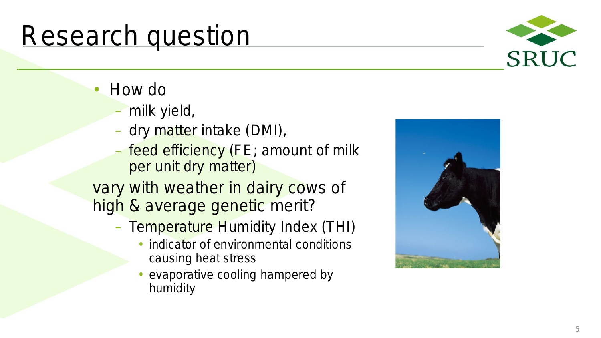# Research question

- - How do<br>- milk yield,
	- dry matter intake (DMI),
	- feed efficiency (FE; amount of milk per unit dry matter)
- vary with weather in dairy cows of high & average genetic merit?
	- Temperature Humidity Index (THI)
		- indicator of environmental conditions causing heat stress
		- evaporative cooling hampered by humidity



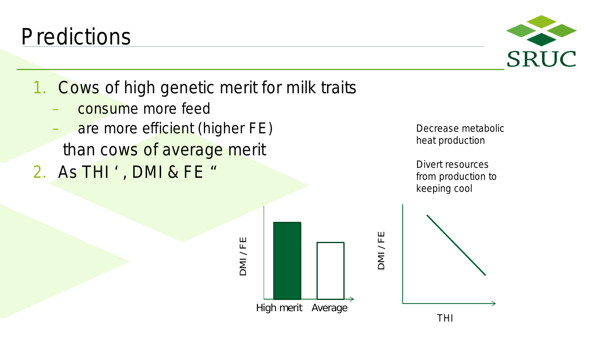**Predictions** 

1. Cows of high genetic merit for milk traits

DMI / FE

- consume more feed
- are more efficient (higher FE) than cows of average merit
- 2. As THI ', DMI & FE "

Decrease metabolic heat production

Divert resources from production to keeping cool



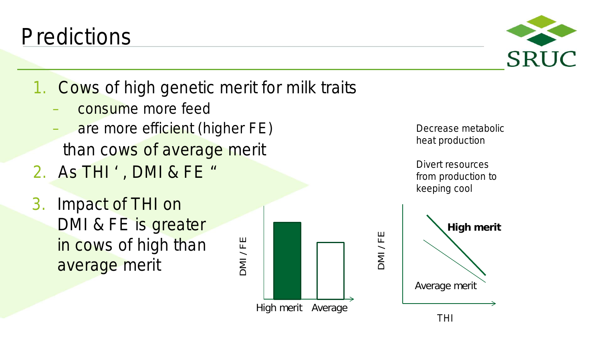Average merit

1. Cows of high genetic merit for milk traits

– consume more feed

**Predictions** 

- are more efficient (higher FE) than cows of average merit
- 2. As THI ' , DMI & FE "
- 3. Impact of THI on DMI & FE is greater in cows of high than average merit



Decrease metabolic heat production

Divert resources from production to keeping cool

**High merit**

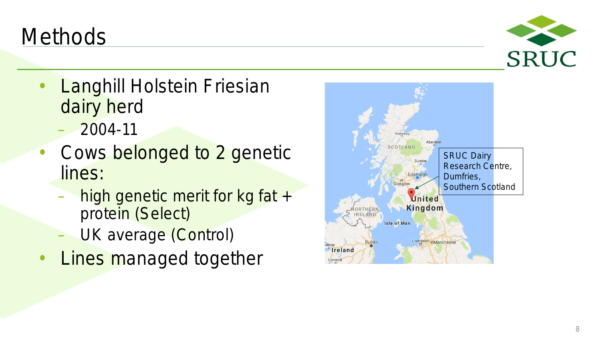### **Methods**

- Langhill Holstein Friesian dairy herd
	- 2004-11
- Cows belonged to 2 genetic lines:
	- high genetic merit for kg fat + protein (Select)
	- UK average (Control)
- **Lines managed together**



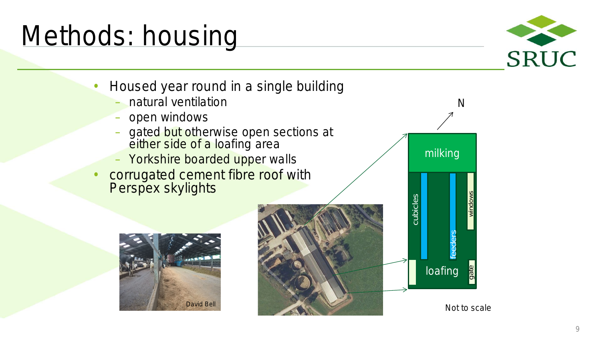## Methods: housing



- Housed year round in a single building
	- natural ventilation
	- open windows
	- gated but otherwise open sections at either side of a loafing area
	- Yorkshire boarded upper walls
- corrugated cement fibre roof with Perspex skylights







Not to scale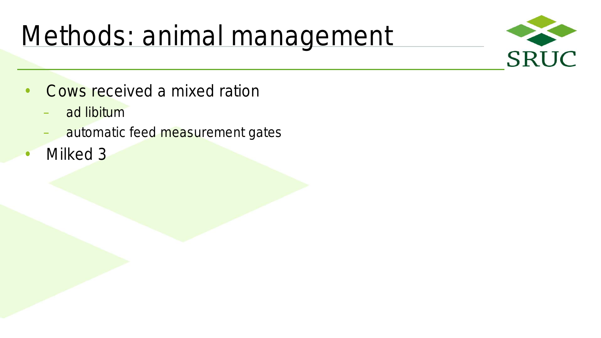# Methods: animal management



- Cows received a mixed ration
	- ad libitum
	- automatic feed measurement gates
- Milked 3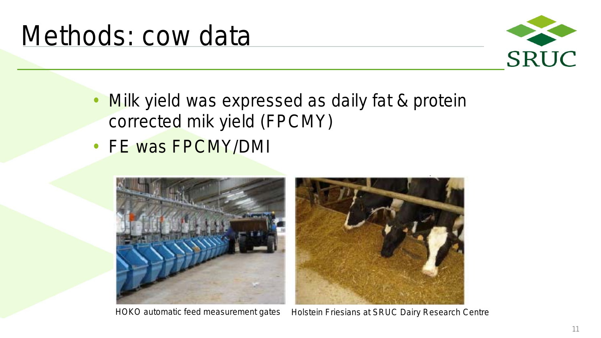

- Milk yield was expressed as daily fat & protein corrected mik yield (FPCMY)
- FE was FPCMY/DMI



HOKO automatic feed measurement gates Holstein Friesians at SRUC Dairy Research Centre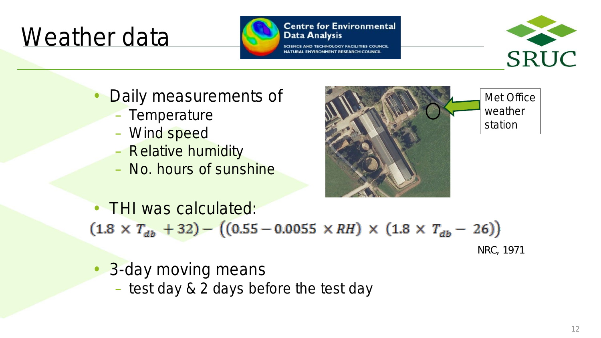## Weather data



#### **Centre for Environmental Data Analysis**



- Daily measurements of
	- Temperature
	- Wind speed
	- Relative humidity
	- No. hours of sunshine



• THI was calculated:  $(1.8 \times T_{ab} + 32) - ((0.55 - 0.0055 \times RH) \times (1.8 \times T_{ab} - 26))$ 

NRC, 1971

- **3-day moving means** 
	- test day & 2 days before the test day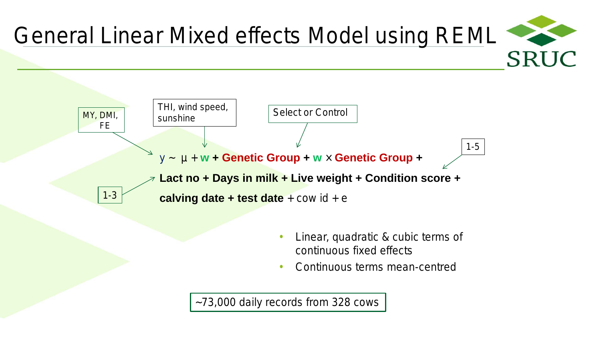



- Linear, quadratic & cubic terms of continuous fixed effects
- Continuous terms mean-centred

~73,000 daily records from 328 cows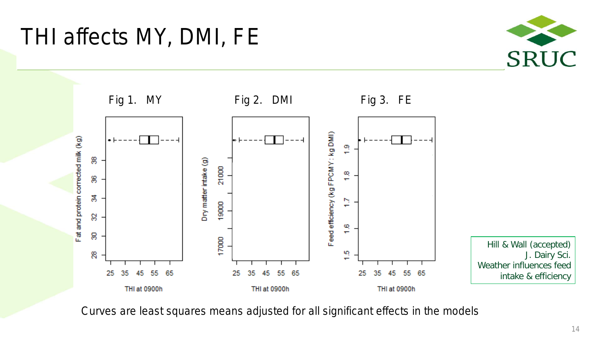### THI affects MY, DMI, FE





Curves are least squares means adjusted for all significant effects in the models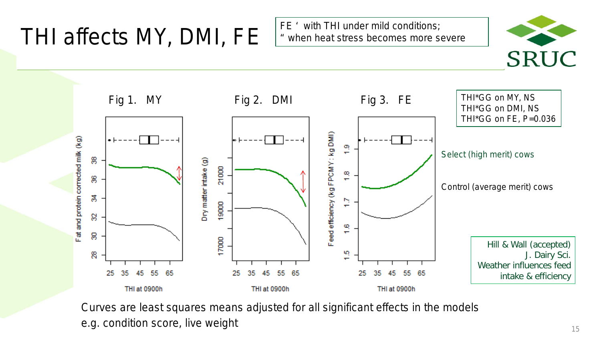## THI affects MY, DMI, FE

FE ' with THI under mild conditions; " when heat stress becomes more severe





Curves are least squares means adjusted for all significant effects in the models e.g. condition score, live weight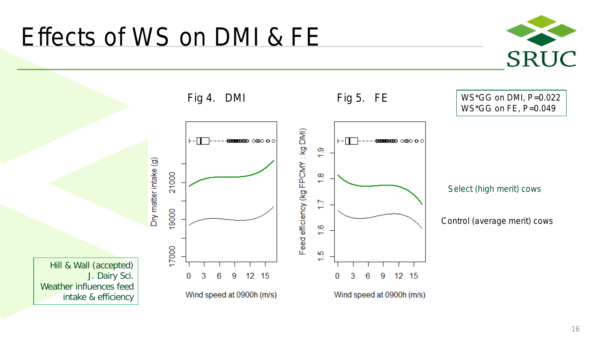

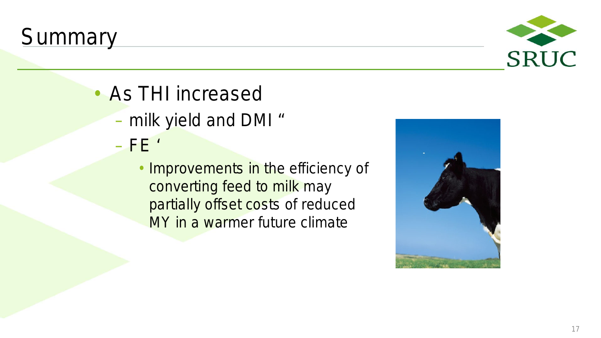### **Summary**



- As THI increased
	- milk yield and DMI "
	- $-$  FE  $\prime$ 
		- Improvements in the efficiency of converting feed to milk may partially offset costs of reduced MY in a warmer future climate

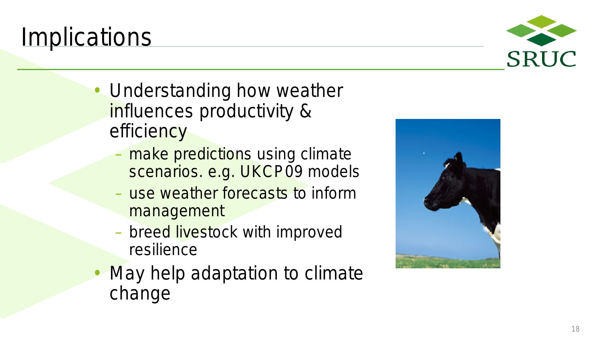### **Implications**

- Understanding how weather influences productivity &
	- efficiency<br>- make predictions using climate scenarios. e.g. UKCP09 models
		- use weather forecasts to inform management
		- breed livestock with improved resilience
- **May help adaptation to climate** change